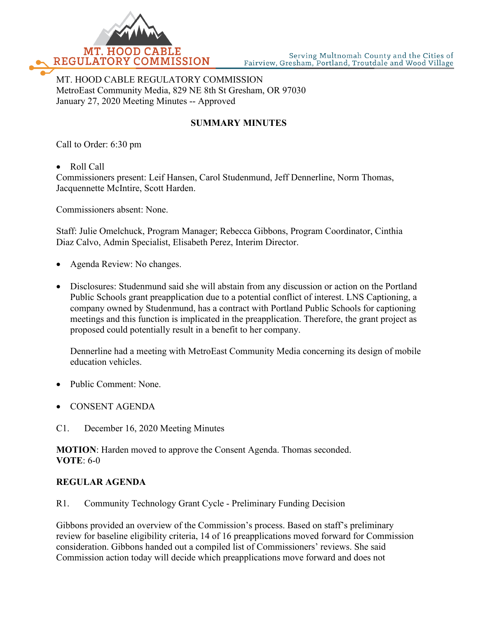

MT. HOOD CABLE REGULATORY COMMISSION MetroEast Community Media, 829 NE 8th St Gresham, OR 97030 January 27, 2020 Meeting Minutes -- Approved

# **SUMMARY MINUTES**

Call to Order: 6:30 pm

• Roll Call

Commissioners present: Leif Hansen, Carol Studenmund, Jeff Dennerline, Norm Thomas, Jacquennette McIntire, Scott Harden.

Commissioners absent: None.

Staff: Julie Omelchuck, Program Manager; Rebecca Gibbons, Program Coordinator, Cinthia Diaz Calvo, Admin Specialist, Elisabeth Perez, Interim Director.

- Agenda Review: No changes.
- Disclosures: Studenmund said she will abstain from any discussion or action on the Portland Public Schools grant preapplication due to a potential conflict of interest. LNS Captioning, a company owned by Studenmund, has a contract with Portland Public Schools for captioning meetings and this function is implicated in the preapplication. Therefore, the grant project as proposed could potentially result in a benefit to her company.

Dennerline had a meeting with MetroEast Community Media concerning its design of mobile education vehicles.

- Public Comment: None.
- CONSENT AGENDA
- C1. December 16, 2020 Meeting Minutes

**MOTION**: Harden moved to approve the Consent Agenda. Thomas seconded. **VOTE**: 6-0

# **REGULAR AGENDA**

R1. Community Technology Grant Cycle - Preliminary Funding Decision

Gibbons provided an overview of the Commission's process. Based on staff's preliminary review for baseline eligibility criteria, 14 of 16 preapplications moved forward for Commission consideration. Gibbons handed out a compiled list of Commissioners' reviews. She said Commission action today will decide which preapplications move forward and does not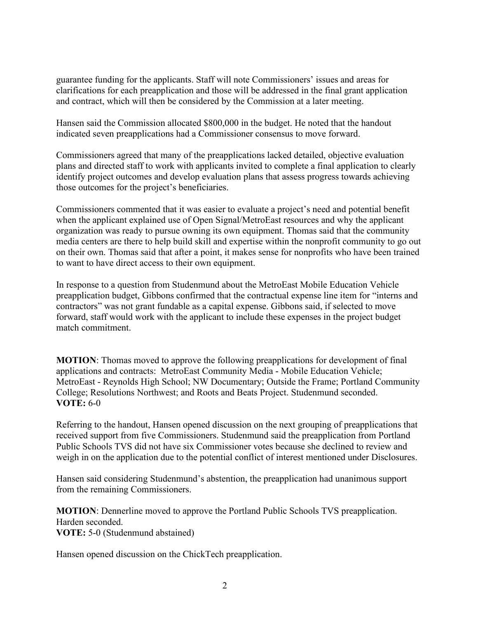guarantee funding for the applicants. Staff will note Commissioners' issues and areas for clarifications for each preapplication and those will be addressed in the final grant application and contract, which will then be considered by the Commission at a later meeting.

Hansen said the Commission allocated \$800,000 in the budget. He noted that the handout indicated seven preapplications had a Commissioner consensus to move forward.

Commissioners agreed that many of the preapplications lacked detailed, objective evaluation plans and directed staff to work with applicants invited to complete a final application to clearly identify project outcomes and develop evaluation plans that assess progress towards achieving those outcomes for the project's beneficiaries.

Commissioners commented that it was easier to evaluate a project's need and potential benefit when the applicant explained use of Open Signal/MetroEast resources and why the applicant organization was ready to pursue owning its own equipment. Thomas said that the community media centers are there to help build skill and expertise within the nonprofit community to go out on their own. Thomas said that after a point, it makes sense for nonprofits who have been trained to want to have direct access to their own equipment.

In response to a question from Studenmund about the MetroEast Mobile Education Vehicle preapplication budget, Gibbons confirmed that the contractual expense line item for "interns and contractors" was not grant fundable as a capital expense. Gibbons said, if selected to move forward, staff would work with the applicant to include these expenses in the project budget match commitment.

**MOTION**: Thomas moved to approve the following preapplications for development of final applications and contracts: MetroEast Community Media - Mobile Education Vehicle; MetroEast - Reynolds High School; NW Documentary; Outside the Frame; Portland Community College; Resolutions Northwest; and Roots and Beats Project. Studenmund seconded. **VOTE:** 6-0

Referring to the handout, Hansen opened discussion on the next grouping of preapplications that received support from five Commissioners. Studenmund said the preapplication from Portland Public Schools TVS did not have six Commissioner votes because she declined to review and weigh in on the application due to the potential conflict of interest mentioned under Disclosures.

Hansen said considering Studenmund's abstention, the preapplication had unanimous support from the remaining Commissioners.

**MOTION**: Dennerline moved to approve the Portland Public Schools TVS preapplication. Harden seconded. **VOTE:** 5-0 (Studenmund abstained)

Hansen opened discussion on the ChickTech preapplication.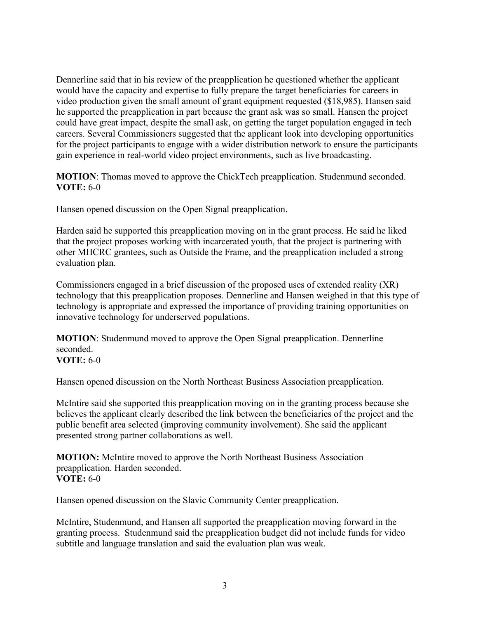Dennerline said that in his review of the preapplication he questioned whether the applicant would have the capacity and expertise to fully prepare the target beneficiaries for careers in video production given the small amount of grant equipment requested (\$18,985). Hansen said he supported the preapplication in part because the grant ask was so small. Hansen the project could have great impact, despite the small ask, on getting the target population engaged in tech careers. Several Commissioners suggested that the applicant look into developing opportunities for the project participants to engage with a wider distribution network to ensure the participants gain experience in real-world video project environments, such as live broadcasting.

**MOTION**: Thomas moved to approve the ChickTech preapplication. Studenmund seconded. **VOTE:** 6-0

Hansen opened discussion on the Open Signal preapplication.

Harden said he supported this preapplication moving on in the grant process. He said he liked that the project proposes working with incarcerated youth, that the project is partnering with other MHCRC grantees, such as Outside the Frame, and the preapplication included a strong evaluation plan.

Commissioners engaged in a brief discussion of the proposed uses of extended reality (XR) technology that this preapplication proposes. Dennerline and Hansen weighed in that this type of technology is appropriate and expressed the importance of providing training opportunities on innovative technology for underserved populations.

**MOTION**: Studenmund moved to approve the Open Signal preapplication. Dennerline seconded. **VOTE:** 6-0

Hansen opened discussion on the North Northeast Business Association preapplication.

McIntire said she supported this preapplication moving on in the granting process because she believes the applicant clearly described the link between the beneficiaries of the project and the public benefit area selected (improving community involvement). She said the applicant presented strong partner collaborations as well.

**MOTION:** McIntire moved to approve the North Northeast Business Association preapplication. Harden seconded. **VOTE:** 6-0

Hansen opened discussion on the Slavic Community Center preapplication.

McIntire, Studenmund, and Hansen all supported the preapplication moving forward in the granting process. Studenmund said the preapplication budget did not include funds for video subtitle and language translation and said the evaluation plan was weak.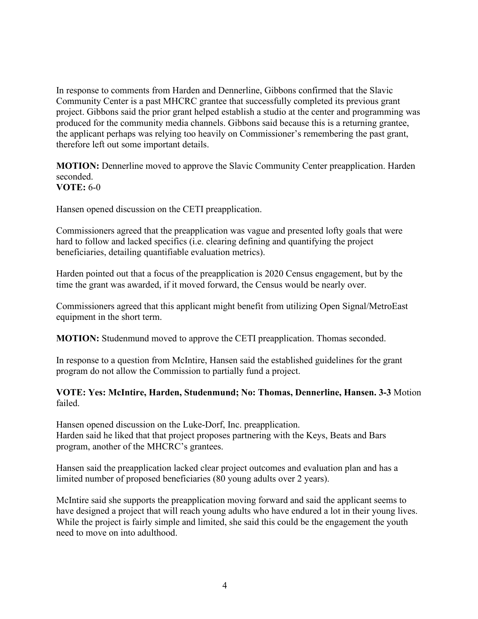In response to comments from Harden and Dennerline, Gibbons confirmed that the Slavic Community Center is a past MHCRC grantee that successfully completed its previous grant project. Gibbons said the prior grant helped establish a studio at the center and programming was produced for the community media channels. Gibbons said because this is a returning grantee, the applicant perhaps was relying too heavily on Commissioner's remembering the past grant, therefore left out some important details.

**MOTION:** Dennerline moved to approve the Slavic Community Center preapplication. Harden seconded. **VOTE:** 6-0

Hansen opened discussion on the CETI preapplication.

Commissioners agreed that the preapplication was vague and presented lofty goals that were hard to follow and lacked specifics (i.e. clearing defining and quantifying the project beneficiaries, detailing quantifiable evaluation metrics).

Harden pointed out that a focus of the preapplication is 2020 Census engagement, but by the time the grant was awarded, if it moved forward, the Census would be nearly over.

Commissioners agreed that this applicant might benefit from utilizing Open Signal/MetroEast equipment in the short term.

**MOTION:** Studenmund moved to approve the CETI preapplication. Thomas seconded.

In response to a question from McIntire, Hansen said the established guidelines for the grant program do not allow the Commission to partially fund a project.

# **VOTE: Yes: McIntire, Harden, Studenmund; No: Thomas, Dennerline, Hansen. 3-3** Motion failed.

Hansen opened discussion on the Luke-Dorf, Inc. preapplication. Harden said he liked that that project proposes partnering with the Keys, Beats and Bars program, another of the MHCRC's grantees.

Hansen said the preapplication lacked clear project outcomes and evaluation plan and has a limited number of proposed beneficiaries (80 young adults over 2 years).

McIntire said she supports the preapplication moving forward and said the applicant seems to have designed a project that will reach young adults who have endured a lot in their young lives. While the project is fairly simple and limited, she said this could be the engagement the youth need to move on into adulthood.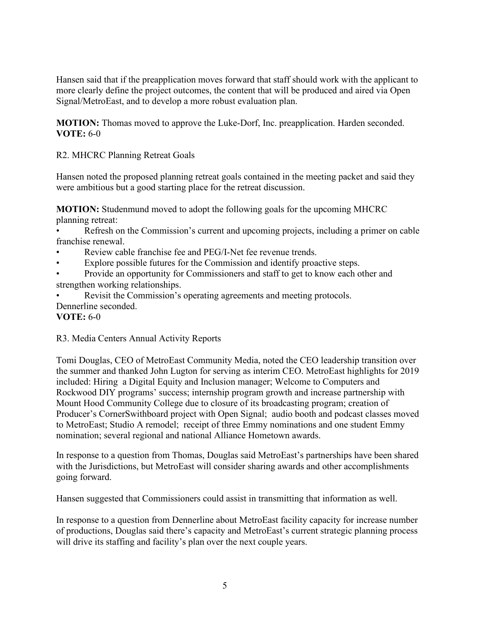Hansen said that if the preapplication moves forward that staff should work with the applicant to more clearly define the project outcomes, the content that will be produced and aired via Open Signal/MetroEast, and to develop a more robust evaluation plan.

**MOTION:** Thomas moved to approve the Luke-Dorf, Inc. preapplication. Harden seconded. **VOTE:** 6-0

R2. MHCRC Planning Retreat Goals

Hansen noted the proposed planning retreat goals contained in the meeting packet and said they were ambitious but a good starting place for the retreat discussion.

**MOTION:** Studenmund moved to adopt the following goals for the upcoming MHCRC planning retreat:

• Refresh on the Commission's current and upcoming projects, including a primer on cable franchise renewal.

- Review cable franchise fee and PEG/I-Net fee revenue trends.
- Explore possible futures for the Commission and identify proactive steps.
- Provide an opportunity for Commissioners and staff to get to know each other and strengthen working relationships.
- Revisit the Commission's operating agreements and meeting protocols.

# Dennerline seconded.

# **VOTE:** 6-0

# R3. Media Centers Annual Activity Reports

Tomi Douglas, CEO of MetroEast Community Media, noted the CEO leadership transition over the summer and thanked John Lugton for serving as interim CEO. MetroEast highlights for 2019 included: Hiring a Digital Equity and Inclusion manager; Welcome to Computers and Rockwood DIY programs' success; internship program growth and increase partnership with Mount Hood Community College due to closure of its broadcasting program; creation of Producer's CornerSwithboard project with Open Signal; audio booth and podcast classes moved to MetroEast; Studio A remodel; receipt of three Emmy nominations and one student Emmy nomination; several regional and national Alliance Hometown awards.

In response to a question from Thomas, Douglas said MetroEast's partnerships have been shared with the Jurisdictions, but MetroEast will consider sharing awards and other accomplishments going forward.

Hansen suggested that Commissioners could assist in transmitting that information as well.

In response to a question from Dennerline about MetroEast facility capacity for increase number of productions, Douglas said there's capacity and MetroEast's current strategic planning process will drive its staffing and facility's plan over the next couple years.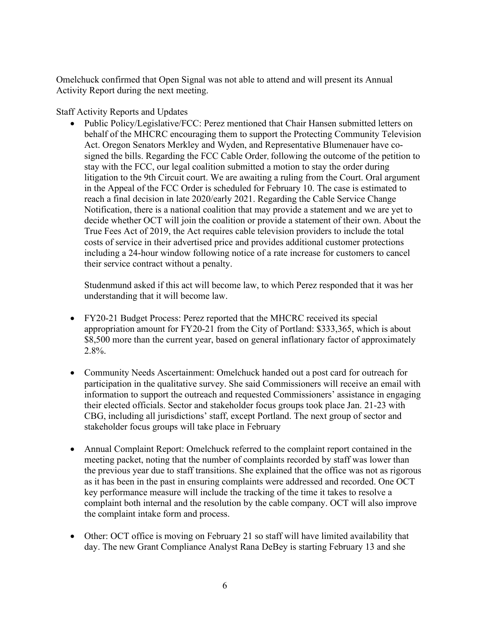Omelchuck confirmed that Open Signal was not able to attend and will present its Annual Activity Report during the next meeting.

Staff Activity Reports and Updates

• Public Policy/Legislative/FCC: Perez mentioned that Chair Hansen submitted letters on behalf of the MHCRC encouraging them to support the Protecting Community Television Act. Oregon Senators Merkley and Wyden, and Representative Blumenauer have cosigned the bills. Regarding the FCC Cable Order, following the outcome of the petition to stay with the FCC, our legal coalition submitted a motion to stay the order during litigation to the 9th Circuit court. We are awaiting a ruling from the Court. Oral argument in the Appeal of the FCC Order is scheduled for February 10. The case is estimated to reach a final decision in late 2020/early 2021. Regarding the Cable Service Change Notification, there is a national coalition that may provide a statement and we are yet to decide whether OCT will join the coalition or provide a statement of their own. About the True Fees Act of 2019, the Act requires cable television providers to include the total costs of service in their advertised price and provides additional customer protections including a 24-hour window following notice of a rate increase for customers to cancel their service contract without a penalty.

Studenmund asked if this act will become law, to which Perez responded that it was her understanding that it will become law.

- FY20-21 Budget Process: Perez reported that the MHCRC received its special appropriation amount for FY20-21 from the City of Portland: \$333,365, which is about \$8,500 more than the current year, based on general inflationary factor of approximately 2.8%.
- Community Needs Ascertainment: Omelchuck handed out a post card for outreach for participation in the qualitative survey. She said Commissioners will receive an email with information to support the outreach and requested Commissioners' assistance in engaging their elected officials. Sector and stakeholder focus groups took place Jan. 21-23 with CBG, including all jurisdictions' staff, except Portland. The next group of sector and stakeholder focus groups will take place in February
- Annual Complaint Report: Omelchuck referred to the complaint report contained in the meeting packet, noting that the number of complaints recorded by staff was lower than the previous year due to staff transitions. She explained that the office was not as rigorous as it has been in the past in ensuring complaints were addressed and recorded. One OCT key performance measure will include the tracking of the time it takes to resolve a complaint both internal and the resolution by the cable company. OCT will also improve the complaint intake form and process.
- Other: OCT office is moving on February 21 so staff will have limited availability that day. The new Grant Compliance Analyst Rana DeBey is starting February 13 and she